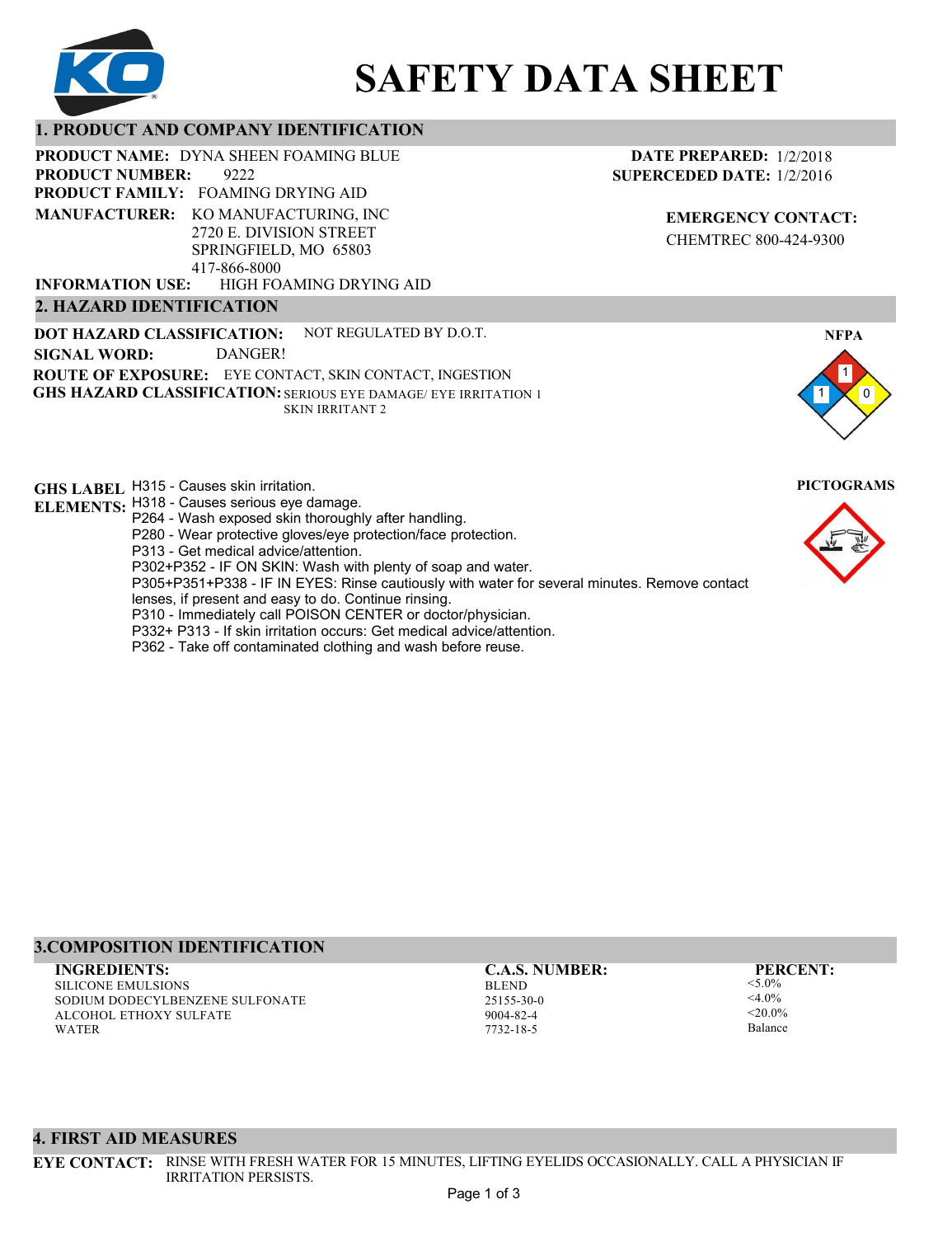

# **SAFETY DATA SHEET**

# **1. PRODUCT AND COMPANY IDENTIFICATION**

PRODUCT NAME: DYNA SHEEN FOAMING BLUE

9222 **PRODUCT FAMILY: FOAMING DRYING AID** HIGH FOAMING DRYING AID **PRODUCT NUMBER: MANUFACTURER:** KO MANUFACTURING, INC 2720 E. DIVISION STREET SPRINGFIELD, MO 65803 417-866-8000 **INFORMATION USE:**

# **2. HAZARD IDENTIFICATION**

**DOT HAZARD CLASSIFICATION: GHS HAZARD CLASSIFICATION:** SERIOUS EYE DAMAGE/ EYE IRRITATION 1 **ROUTE OF EXPOSURE:** EYE CONTACT, SKIN CONTACT, INGESTION NOT REGULATED BY D.O.T. SKIN IRRITANT 2 **SIGNAL WORD:** DANGER!

**GHS LABEL**  H315 - Causes skin irritation. **PICTOGRAMS ELEMENTS:** H318 - Causes serious eye damage.

- P264 Wash exposed skin thoroughly after handling.
	- P280 Wear protective gloves/eye protection/face protection.
	- P313 Get medical advice/attention.
	- P302+P352 IF ON SKIN: Wash with plenty of soap and water.

P305+P351+P338 - IF IN EYES: Rinse cautiously with water for several minutes. Remove contact

- lenses, if present and easy to do. Continue rinsing.
- P310 Immediately call POISON CENTER or doctor/physician.
- P332+ P313 If skin irritation occurs: Get medical advice/attention.
- P362 Take off contaminated clothing and wash before reuse.

# **DATE PREPARED:** 1/2/2018 **SUPERCEDED DATE:** 1/2/2016

**EMERGENCY CONTACT:** CHEMTREC 800-424-9300



# **3.COMPOSITION IDENTIFICATION**

SILICONE EMULSIONS SODIUM DODECYLBENZENE SULFONATE ALCOHOL ETHOXY SULFATE WATER **INGREDIENTS: C.A.S. NUMBER: PERCENT:**

BLEND 25155-30-0 9004-82-4 7732-18-5

<5.0%  $<$ 4.0%  $-20.094$ Balance

### **4. FIRST AID MEASURES**

**EYE CONTACT:** RINSE WITH FRESH WATER FOR 15 MINUTES, LIFTING EYELIDS OCCASIONALLY. CALL A PHYSICIAN IF IRRITATION PERSISTS.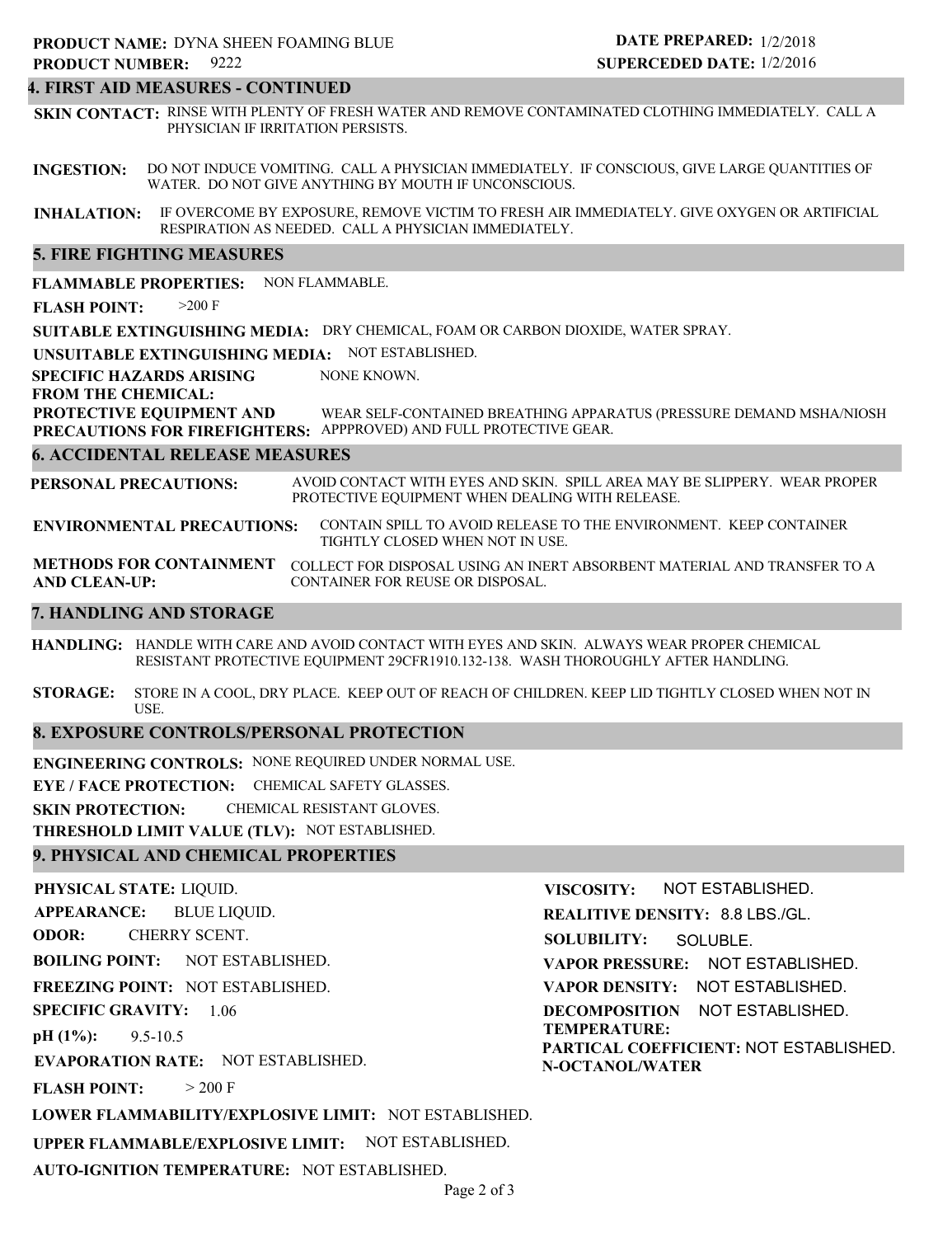# **4. FIRST AID MEASURES - CONTINUED**

**SKIN CONTACT:** RINSE WITH PLENTY OF FRESH WATER AND REMOVE CONTAMINATED CLOTHING IMMEDIATELY. CALL A PHYSICIAN IF IRRITATION PERSISTS.

**INGESTION:** DO NOT INDUCE VOMITING. CALL A PHYSICIAN IMMEDIATELY. IF CONSCIOUS, GIVE LARGE QUANTITIES OF WATER. DO NOT GIVE ANYTHING BY MOUTH IF UNCONSCIOUS.

**INHALATION:** IF OVERCOME BY EXPOSURE, REMOVE VICTIM TO FRESH AIR IMMEDIATELY. GIVE OXYGEN OR ARTIFICIAL RESPIRATION AS NEEDED. CALL A PHYSICIAN IMMEDIATELY.

#### **5. FIRE FIGHTING MEASURES**

**FLAMMABLE PROPERTIES:** NON FLAMMABLE.

**FLASH POINT:** >200 F

**SUITABLE EXTINGUISHING MEDIA:** DRY CHEMICAL, FOAM OR CARBON DIOXIDE, WATER SPRAY.

**UNSUITABLE EXTINGUISHING MEDIA:** NOT ESTABLISHED.

**SPECIFIC HAZARDS ARISING** NONE KNOWN.

**FROM THE CHEMICAL:**

**PROTECTIVE EQUIPMENT AND PRECAUTIONS FOR FIREFIGHTERS:** APPPROVED) AND FULL PROTECTIVE GEAR. WEAR SELF-CONTAINED BREATHING APPARATUS (PRESSURE DEMAND MSHA/NIOSH

#### **6. ACCIDENTAL RELEASE MEASURES**

**PERSONAL PRECAUTIONS:** AVOID CONTACT WITH EYES AND SKIN. SPILL AREA MAY BE SLIPPERY. WEAR PROPER PROTECTIVE EQUIPMENT WHEN DEALING WITH RELEASE.

**ENVIRONMENTAL PRECAUTIONS:** CONTAIN SPILL TO AVOID RELEASE TO THE ENVIRONMENT. KEEP CONTAINER TIGHTLY CLOSED WHEN NOT IN USE.

**METHODS FOR CONTAINMENT** COLLECT FOR DISPOSAL USING AN INERT ABSORBENT MATERIAL AND TRANSFER TO A **AND CLEAN-UP:** CONTAINER FOR REUSE OR DISPOSAL.

#### **7. HANDLING AND STORAGE**

**HANDLING:** HANDLE WITH CARE AND AVOID CONTACT WITH EYES AND SKIN. ALWAYS WEAR PROPER CHEMICAL RESISTANT PROTECTIVE EQUIPMENT 29CFR1910.132-138. WASH THOROUGHLY AFTER HANDLING.

**STORAGE:** STORE IN A COOL, DRY PLACE. KEEP OUT OF REACH OF CHILDREN. KEEP LID TIGHTLY CLOSED WHEN NOT IN USE.

#### **8. EXPOSURE CONTROLS/PERSONAL PROTECTION**

**ENGINEERING CONTROLS:** NONE REQUIRED UNDER NORMAL USE.

**EYE / FACE PROTECTION:** CHEMICAL SAFETY GLASSES.

**SKIN PROTECTION:** CHEMICAL RESISTANT GLOVES.

**THRESHOLD LIMIT VALUE (TLV):** NOT ESTABLISHED.

### **9. PHYSICAL AND CHEMICAL PROPERTIES**

**PHYSICAL STATE:** LIQUID. **APPEARANCE: ODOR: BOILING POINT:** NOT ESTABLISHED. **FREEZING POINT:** NOT ESTABLISHED. **SPECIFIC GRAVITY:** 1.06 **pH (1%): EVAPORATION RATE:** NOT ESTABLISHED. **FLASH POINT: LOWER FLAMMABILITY/EXPLOSIVE LIMIT:** NOT ESTABLISHED. **UPPER FLAMMABLE/EXPLOSIVE LIMIT:** NOT ESTABLISHED. 9.5-10.5  $> 200 F$ BLUE LIQUID. CHERRY SCENT. **VISCOSITY: REALITIVE DENSITY:** 8.8 LBS./GL. **SOLUBILITY: VAPOR PRESSURE:** NOT ESTABLISHED. **VAPOR DENSITY:** NOT ESTABLISHED. **DECOMPOSITION** NOT ESTABLISHED. **TEMPERATURE: PARTICAL COEFFICIENT:** NOT ESTABLISHED. **N-OCTANOL/WATER** NOT ESTABLISHED. SOLUBLE.

**AUTO-IGNITION TEMPERATURE:** NOT ESTABLISHED.